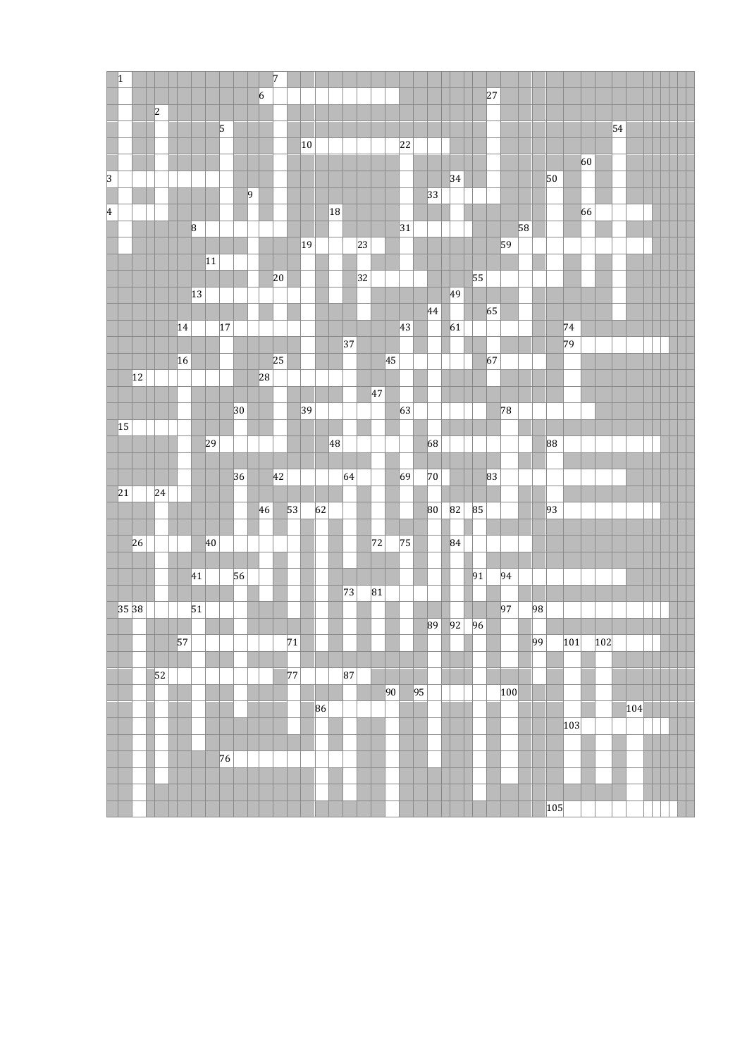| $\vert$ 1               |       |    |                 |                 |    |              |              |                | $\sqrt{7}$ |                 |              |    |    |    |              |    |                 |    |                 |    |          |    |    |     |    |                 |     |     |    |     |    |     |  |  |
|-------------------------|-------|----|-----------------|-----------------|----|--------------|--------------|----------------|------------|-----------------|--------------|----|----|----|--------------|----|-----------------|----|-----------------|----|----------|----|----|-----|----|-----------------|-----|-----|----|-----|----|-----|--|--|
|                         |       |    |                 |                 |    |              |              | $\overline{6}$ |            |                 |              |    |    |    |              |    |                 |    |                 |    |          |    | 27 |     |    |                 |     |     |    |     |    |     |  |  |
|                         |       |    | 2               |                 |    |              |              |                |            |                 |              |    |    |    |              |    |                 |    |                 |    |          |    |    |     |    |                 |     |     |    |     |    |     |  |  |
|                         |       |    |                 |                 |    | 5            |              |                |            |                 |              |    |    |    |              |    |                 |    |                 |    |          |    |    |     |    |                 |     |     |    |     | 54 |     |  |  |
|                         |       |    |                 |                 |    |              |              |                |            |                 | 10           |    |    |    |              |    |                 | 22 |                 |    |          |    |    |     |    |                 |     |     |    |     |    |     |  |  |
|                         |       |    |                 |                 |    |              |              |                |            |                 |              |    |    |    |              |    |                 |    |                 |    |          |    |    |     |    |                 |     |     | 60 |     |    |     |  |  |
| $\overline{\mathbf{3}}$ |       |    |                 |                 |    |              |              |                |            |                 |              |    |    |    |              |    |                 |    |                 |    | 34       |    |    |     |    |                 | 50  |     |    |     |    |     |  |  |
|                         |       |    |                 |                 |    |              |              | $ 9\rangle$    |            |                 |              |    |    |    |              |    |                 |    |                 | 33 |          |    |    |     |    |                 |     |     |    |     |    |     |  |  |
| 4                       |       |    |                 |                 |    |              |              |                |            |                 |              |    | 18 |    |              |    |                 |    |                 |    |          |    |    |     |    |                 |     |     | 66 |     |    |     |  |  |
|                         |       |    |                 | 8               |    |              |              |                |            |                 |              |    |    |    |              |    |                 | 31 |                 |    |          |    |    |     | 58 |                 |     |     |    |     |    |     |  |  |
|                         |       |    |                 |                 |    |              |              |                |            |                 | $ 19\rangle$ |    |    |    | $ 23\rangle$ |    |                 |    |                 |    |          |    |    | 59  |    |                 |     |     |    |     |    |     |  |  |
|                         |       |    |                 |                 | 11 |              |              |                |            |                 |              |    |    |    |              |    |                 |    |                 |    |          |    |    |     |    |                 |     |     |    |     |    |     |  |  |
|                         |       |    |                 |                 |    |              |              |                | 20         |                 |              |    |    |    | 32           |    |                 |    |                 |    |          | 55 |    |     |    |                 |     |     |    |     |    |     |  |  |
|                         |       |    |                 | 13              |    |              |              |                |            |                 |              |    |    |    |              |    |                 |    |                 |    | 49       |    |    |     |    |                 |     |     |    |     |    |     |  |  |
|                         |       |    |                 |                 |    |              |              |                |            |                 |              |    |    |    |              |    |                 |    |                 | 44 |          |    | 65 |     |    |                 |     |     |    |     |    |     |  |  |
|                         |       |    |                 | 14              |    | $ 17\rangle$ |              |                |            |                 |              |    |    |    |              |    |                 | 43 |                 |    | 61       |    |    |     |    |                 |     | 74  |    |     |    |     |  |  |
|                         |       |    |                 |                 |    |              |              |                |            |                 |              |    |    | 37 |              |    |                 |    |                 |    |          |    |    |     |    |                 |     | 79  |    |     |    |     |  |  |
|                         |       |    |                 | $\vert$ 16      |    |              |              |                | 25         |                 |              |    |    |    |              |    | 45              |    |                 |    |          |    | 67 |     |    |                 |     |     |    |     |    |     |  |  |
|                         |       | 12 |                 |                 |    |              |              | 28             |            |                 |              |    |    |    |              |    |                 |    |                 |    |          |    |    |     |    |                 |     |     |    |     |    |     |  |  |
|                         |       |    |                 |                 |    |              |              |                |            |                 |              |    |    |    |              | 47 |                 |    |                 |    |          |    |    |     |    |                 |     |     |    |     |    |     |  |  |
|                         |       |    |                 |                 |    |              | $ 30\rangle$ |                |            |                 | 39           |    |    |    |              |    |                 | 63 |                 |    |          |    |    | 78  |    |                 |     |     |    |     |    |     |  |  |
|                         | 15    |    |                 |                 | 29 |              |              |                |            |                 |              |    | 48 |    |              |    |                 |    |                 | 68 |          |    |    |     |    |                 | 88  |     |    |     |    |     |  |  |
|                         |       |    |                 |                 |    |              |              |                |            |                 |              |    |    |    |              |    |                 |    |                 |    |          |    |    |     |    |                 |     |     |    |     |    |     |  |  |
|                         |       |    |                 |                 |    |              | 36           |                | 42         |                 |              |    |    | 64 |              |    |                 | 69 |                 | 70 |          |    | 83 |     |    |                 |     |     |    |     |    |     |  |  |
|                         | 21    |    | $ 24\rangle$    |                 |    |              |              |                |            |                 |              |    |    |    |              |    |                 |    |                 |    |          |    |    |     |    |                 |     |     |    |     |    |     |  |  |
|                         |       |    |                 |                 |    |              |              | 46             |            | 53              |              | 62 |    |    |              |    |                 |    |                 | 80 | 82       | 85 |    |     |    |                 | 93  |     |    |     |    |     |  |  |
|                         |       |    |                 |                 |    |              |              |                |            |                 |              |    |    |    |              |    |                 |    |                 |    |          |    |    |     |    |                 |     |     |    |     |    |     |  |  |
|                         |       | 26 |                 |                 | 40 |              |              |                |            |                 |              |    |    |    |              | 72 |                 | 75 |                 |    | 84       |    |    |     |    |                 |     |     |    |     |    |     |  |  |
|                         |       |    |                 |                 |    |              |              |                |            |                 |              |    |    |    |              |    |                 |    |                 |    |          |    |    |     |    |                 |     |     |    |     |    |     |  |  |
|                         |       |    |                 | 41              |    |              | 56           |                |            |                 |              |    |    |    |              |    |                 |    |                 |    |          | 91 |    | 94  |    |                 |     |     |    |     |    |     |  |  |
|                         |       |    |                 |                 |    |              |              |                |            |                 |              |    |    | 73 |              | 81 |                 |    |                 |    |          |    |    |     |    |                 |     |     |    |     |    |     |  |  |
|                         | 35 38 |    |                 | 51              |    |              |              |                |            |                 |              |    |    |    |              |    |                 |    |                 |    |          |    |    | 97  |    | 98              |     |     |    |     |    |     |  |  |
|                         |       |    |                 |                 |    |              |              |                |            |                 |              |    |    |    |              |    |                 |    |                 |    | 89 92 96 |    |    |     |    |                 |     |     |    |     |    |     |  |  |
|                         |       |    |                 | $\overline{57}$ |    |              |              |                |            | $\overline{71}$ |              |    |    |    |              |    |                 |    |                 |    |          |    |    |     |    | $\overline{99}$ |     | 101 |    | 102 |    |     |  |  |
|                         |       |    |                 |                 |    |              |              |                |            |                 |              |    |    |    |              |    |                 |    |                 |    |          |    |    |     |    |                 |     |     |    |     |    |     |  |  |
|                         |       |    | $\overline{52}$ |                 |    |              |              |                |            | 77              |              |    |    | 87 |              |    |                 |    |                 |    |          |    |    |     |    |                 |     |     |    |     |    |     |  |  |
|                         |       |    |                 |                 |    |              |              |                |            |                 |              |    |    |    |              |    | $\overline{90}$ |    | $\overline{95}$ |    |          |    |    | 100 |    |                 |     |     |    |     |    |     |  |  |
|                         |       |    |                 |                 |    |              |              |                |            |                 |              | 86 |    |    |              |    |                 |    |                 |    |          |    |    |     |    |                 |     |     |    |     |    | 104 |  |  |
|                         |       |    |                 |                 |    |              |              |                |            |                 |              |    |    |    |              |    |                 |    |                 |    |          |    |    |     |    |                 |     | 103 |    |     |    |     |  |  |
|                         |       |    |                 |                 |    |              |              |                |            |                 |              |    |    |    |              |    |                 |    |                 |    |          |    |    |     |    |                 |     |     |    |     |    |     |  |  |
|                         |       |    |                 |                 |    | 76           |              |                |            |                 |              |    |    |    |              |    |                 |    |                 |    |          |    |    |     |    |                 |     |     |    |     |    |     |  |  |
|                         |       |    |                 |                 |    |              |              |                |            |                 |              |    |    |    |              |    |                 |    |                 |    |          |    |    |     |    |                 |     |     |    |     |    |     |  |  |
|                         |       |    |                 |                 |    |              |              |                |            |                 |              |    |    |    |              |    |                 |    |                 |    |          |    |    |     |    |                 |     |     |    |     |    |     |  |  |
|                         |       |    |                 |                 |    |              |              |                |            |                 |              |    |    |    |              |    |                 |    |                 |    |          |    |    |     |    |                 | 105 |     |    |     |    |     |  |  |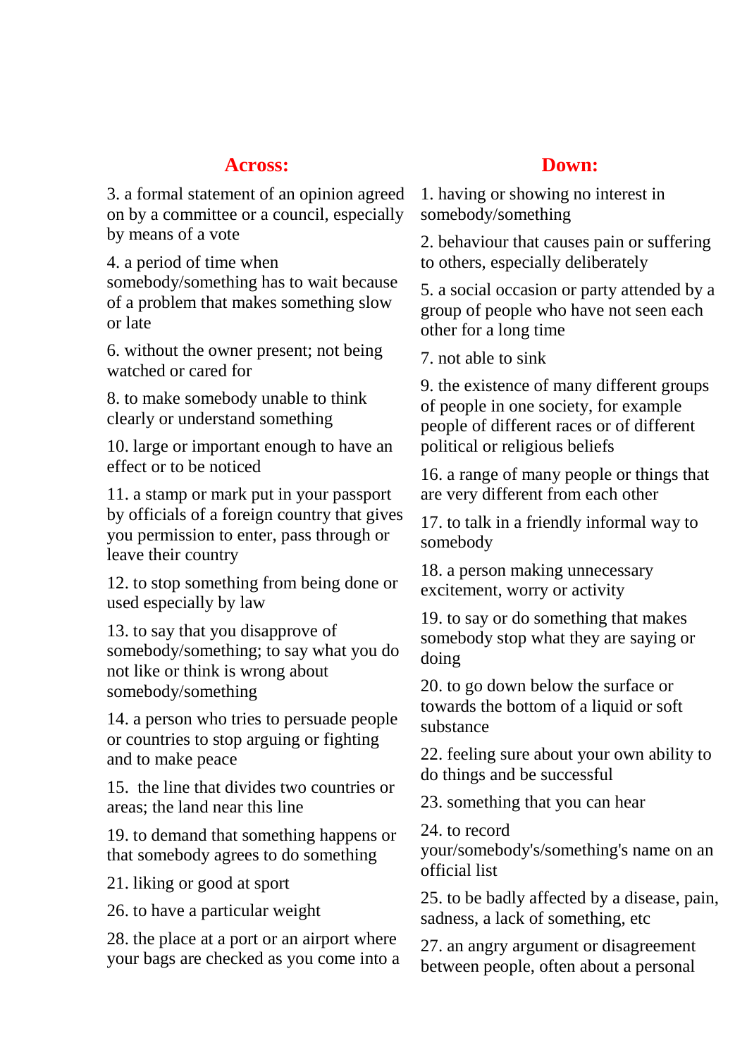# **Across: Down:**

3. a formal statement of an opinion agreed on by a committee or a council, especially by means of a vote

4. a period of time when somebody/something has to wait because of a problem that makes something slow or late

6. without the owner present; not being watched or cared for

8. to make somebody unable to think clearly or understand something

10. large or important enough to have an effect or to be noticed

11. a stamp or mark put in your passport by officials of a foreign country that gives you permission to enter, pass through or leave their country

12. to stop something from being done or used especially by law

13. to say that you disapprove of somebody/something; to say what you do not like or think is wrong about somebody/something

14. a person who tries to persuade people or countries to stop arguing or fighting and to make peace

15. the line that divides two countries or areas; the land near this line

19. to demand that something happens or that somebody agrees to do something

21. liking or good at sport

26. to have a particular weight

28. the place at a port or an airport where your bags are checked as you come into a

1. having or showing no interest in somebody/something

2. behaviour that causes pain or suffering to others, especially deliberately

5. a social occasion or party attended by a group of people who have not seen each other for a long time

7. not able to sink

9. the existence of many different groups of people in one society, for example people of different races or of different political or religious beliefs

16. a range of many people or things that are very different from each other

17. to talk in a friendly informal way to somebody

18. a person making unnecessary excitement, worry or activity

19. to say or do something that makes somebody stop what they are saying or doing

20. to go down below the surface or towards the bottom of a liquid or soft substance

22. feeling sure about your own ability to do things and be successful

23. something that you can hear

24. to record

your/somebody's/something's name on an official list

25. to be badly affected by a disease, pain, sadness, a lack of something, etc

27. an angry argument or disagreement between people, often about a personal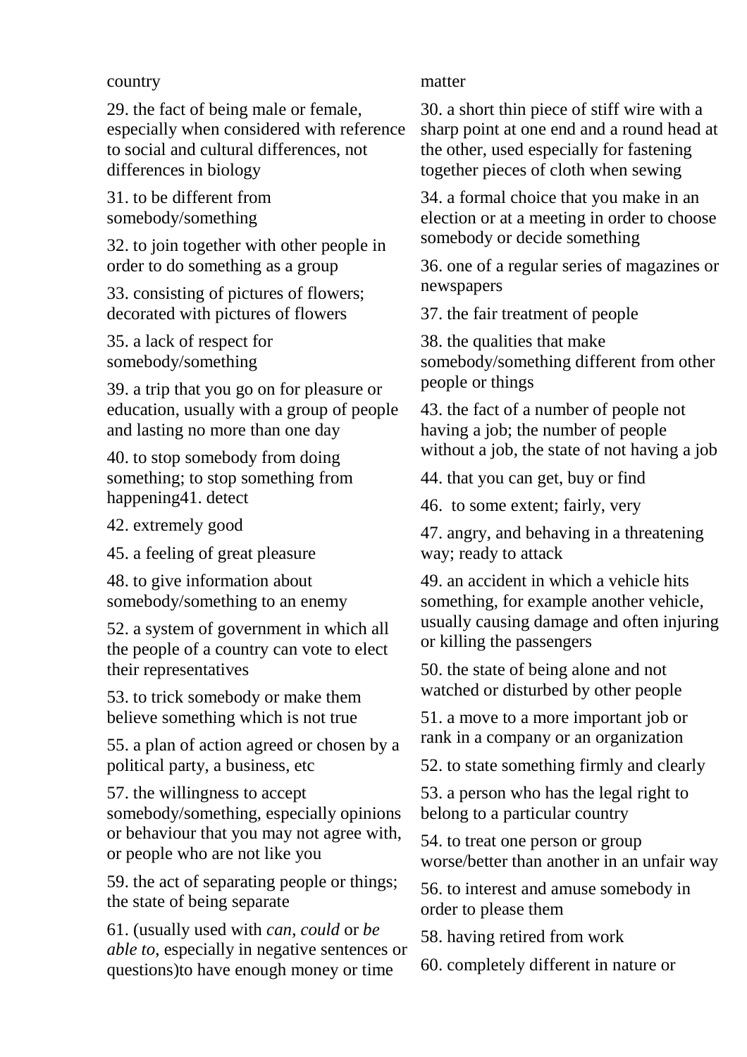#### country

29. the fact of being male or female, especially when considered with reference to social and cultural differences, not differences in biology

31. to be different from somebody/something

32. to join together with other people in order to do something as a group

33. consisting of pictures of flowers; decorated with pictures of flowers

35. a lack of respect for somebody/something

39. a trip that you go on for pleasure or education, usually with a group of people and lasting no more than one day

40. to stop somebody from doing something; to stop something from happening41. detect

42. extremely good

45. a feeling of great pleasure

48. to give information about somebody/something to an enemy

52. a system of government in which all the people of a country can vote to elect their representatives

53. to trick somebody or make them believe something which is not true

55. a plan of action agreed or chosen by a political party, a business, etc

57. the willingness to accept somebody/something, especially opinions or behaviour that you may not agree with, or people who are not like you

59. the act of separating people or things; the state of being separate

61. (usually used with *can*, *could* or *be able to*, especially in negative sentences or questions)to have enough money or time

### matter

30. a short thin piece of stiff wire with a sharp point at one end and a round head at the other, used especially for fastening together pieces of cloth when sewing

34. a formal choice that you make in an election or at a meeting in order to choose somebody or decide something

36. one of a regular series of magazines or newspapers

37. the fair treatment of people

38. the qualities that make somebody/something different from other people or things

43. the fact of a number of people not having a job; the number of people without a job, the state of not having a job

44. that you can get, buy or find

46. to some extent; fairly, very

47. angry, and behaving in a threatening way; ready to attack

49. an accident in which a vehicle hits something, for example another vehicle, usually causing damage and often injuring or killing the passengers

50. the state of being alone and not watched or disturbed by other people

51. a move to a more important job or rank in a company or an organization

52. to state something firmly and clearly

53. a person who has the legal right to belong to a particular country

54. to treat one person or group worse/better than another in an unfair way

56. to interest and amuse somebody in order to please them

58. having retired from work

60. completely different in nature or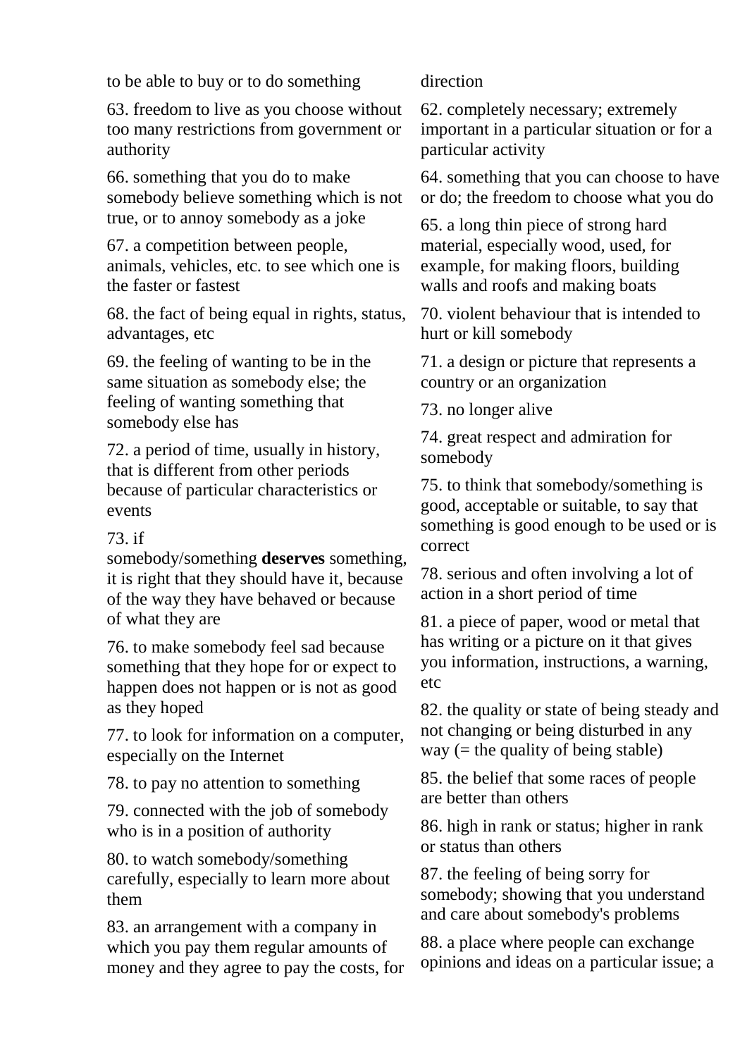to be able to buy or to do something

63. freedom to live as you choose without too many restrictions from government or authority

66. something that you do to make somebody believe something which is not true, or to annoy somebody as a joke

67. a competition between people, animals, vehicles, etc. to see which one is the faster or fastest

68. the fact of being equal in rights, status, advantages, etc

69. the feeling of wanting to be in the same situation as somebody else; the feeling of wanting something that somebody else has

72. a period of time, usually in history, that is different from other periods because of particular characteristics or events

## 73. if

somebody/something **deserves** something, it is right that they should have it, because of the way they have behaved or because of what they are

76. to make somebody feel sad because something that they hope for or expect to happen does not happen or is not as good as they hoped

77. to look for information on a computer, especially on the Internet

78. to pay no attention to something

79. connected with the job of somebody who is in a position of authority

80. to watch somebody/something carefully, especially to learn more about them

83. an arrangement with a company in which you pay them regular amounts of money and they agree to pay the costs, for

## direction

62. completely necessary; extremely important in a particular situation or for a particular activity

64. something that you can choose to have or do; the freedom to choose what you do

65. a long thin piece of strong hard material, especially wood, used, for example, for making floors, building walls and roofs and making boats

70. violent behaviour that is intended to hurt or kill somebody

71. a design or picture that represents a country or an organization

73. no longer alive

74. great respect and admiration for somebody

75. to think that somebody/something is good, acceptable or suitable, to say that something is good enough to be used or is correct

78. serious and often involving a lot of action in a short period of time

81. a piece of paper, wood or metal that has writing or a picture on it that gives you information, instructions, a warning, etc

82. the quality or state of being steady and not changing or being disturbed in any way  $(=$  the quality of being stable)

85. the belief that some races of people are better than others

86. high in rank or status; higher in rank or status than others

87. the feeling of being sorry for somebody; showing that you understand and care about somebody's problems

88. a place where people can exchange opinions and ideas on a particular issue; a